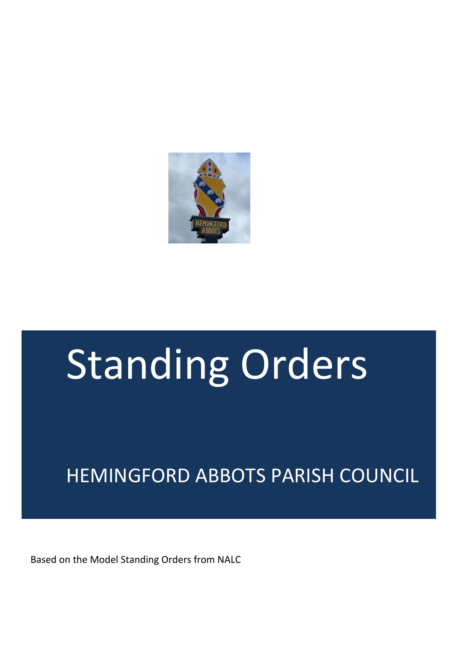

# Standing Orders

# HEMINGFORD ABBOTS PARISH COUNCIL

Based on the Model Standing Orders from NALC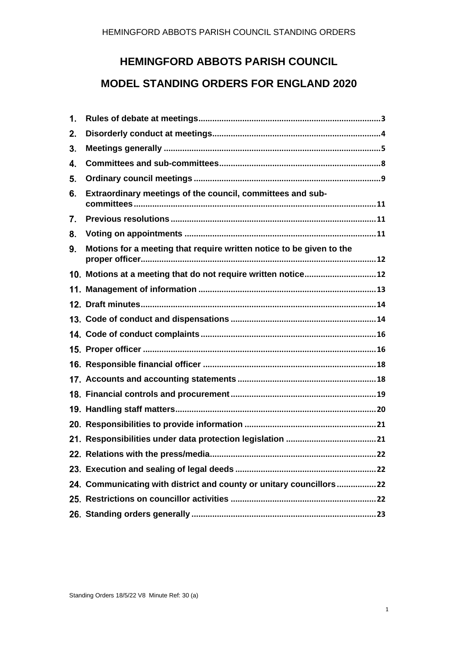#### **HEMINGFORD ABBOTS PARISH COUNCIL**

#### **MODEL STANDING ORDERS FOR ENGLAND 2020**

| $\mathbf{1}$ . |                                                                      |
|----------------|----------------------------------------------------------------------|
| 2.             |                                                                      |
| 3.             |                                                                      |
| 4.             |                                                                      |
| 5.             |                                                                      |
| 6.             | Extraordinary meetings of the council, committees and sub-           |
| 7.             |                                                                      |
| 8.             |                                                                      |
| 9.             | Motions for a meeting that require written notice to be given to the |
|                | 10. Motions at a meeting that do not require written notice 12       |
|                |                                                                      |
|                |                                                                      |
|                |                                                                      |
|                |                                                                      |
|                |                                                                      |
|                |                                                                      |
|                |                                                                      |
|                |                                                                      |
|                |                                                                      |
|                |                                                                      |
|                |                                                                      |
|                |                                                                      |
|                |                                                                      |
|                | 24. Communicating with district and county or unitary councillors22  |
|                |                                                                      |
|                |                                                                      |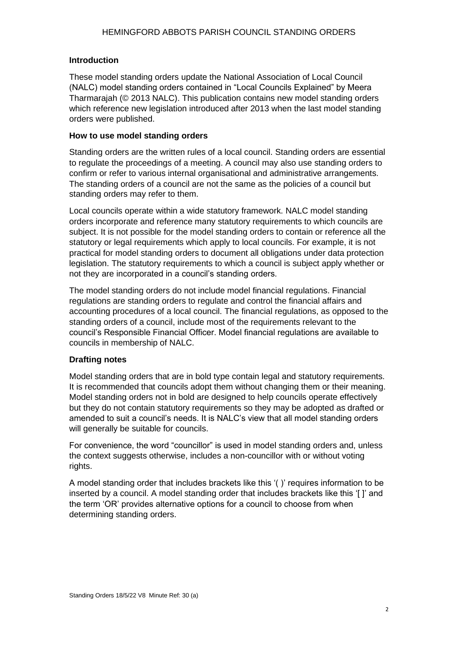#### **Introduction**

These model standing orders update the National Association of Local Council (NALC) model standing orders contained in "Local Councils Explained" by Meera Tharmarajah (© 2013 NALC). This publication contains new model standing orders which reference new legislation introduced after 2013 when the last model standing orders were published.

#### **How to use model standing orders**

Standing orders are the written rules of a local council. Standing orders are essential to regulate the proceedings of a meeting. A council may also use standing orders to confirm or refer to various internal organisational and administrative arrangements. The standing orders of a council are not the same as the policies of a council but standing orders may refer to them.

Local councils operate within a wide statutory framework. NALC model standing orders incorporate and reference many statutory requirements to which councils are subject. It is not possible for the model standing orders to contain or reference all the statutory or legal requirements which apply to local councils. For example, it is not practical for model standing orders to document all obligations under data protection legislation. The statutory requirements to which a council is subject apply whether or not they are incorporated in a council's standing orders.

The model standing orders do not include model financial regulations. Financial regulations are standing orders to regulate and control the financial affairs and accounting procedures of a local council. The financial regulations, as opposed to the standing orders of a council, include most of the requirements relevant to the council's Responsible Financial Officer. Model financial regulations are available to councils in membership of NALC.

#### **Drafting notes**

Model standing orders that are in bold type contain legal and statutory requirements. It is recommended that councils adopt them without changing them or their meaning. Model standing orders not in bold are designed to help councils operate effectively but they do not contain statutory requirements so they may be adopted as drafted or amended to suit a council's needs. It is NALC's view that all model standing orders will generally be suitable for councils.

For convenience, the word "councillor" is used in model standing orders and, unless the context suggests otherwise, includes a non-councillor with or without voting rights.

A model standing order that includes brackets like this '( )' requires information to be inserted by a council. A model standing order that includes brackets like this '[ ]' and the term 'OR' provides alternative options for a council to choose from when determining standing orders.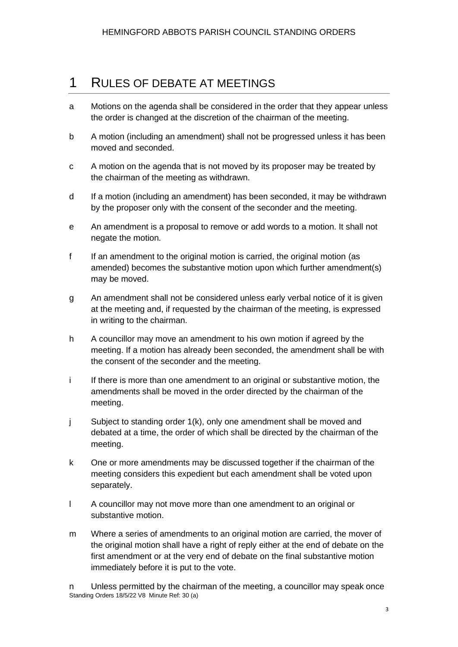#### <span id="page-3-0"></span>1 RULES OF DEBATE AT MEETINGS

- a Motions on the agenda shall be considered in the order that they appear unless the order is changed at the discretion of the chairman of the meeting.
- b A motion (including an amendment) shall not be progressed unless it has been moved and seconded.
- c A motion on the agenda that is not moved by its proposer may be treated by the chairman of the meeting as withdrawn.
- d If a motion (including an amendment) has been seconded, it may be withdrawn by the proposer only with the consent of the seconder and the meeting.
- e An amendment is a proposal to remove or add words to a motion. It shall not negate the motion.
- f If an amendment to the original motion is carried, the original motion (as amended) becomes the substantive motion upon which further amendment(s) may be moved.
- g An amendment shall not be considered unless early verbal notice of it is given at the meeting and, if requested by the chairman of the meeting, is expressed in writing to the chairman.
- h A councillor may move an amendment to his own motion if agreed by the meeting. If a motion has already been seconded, the amendment shall be with the consent of the seconder and the meeting.
- i If there is more than one amendment to an original or substantive motion, the amendments shall be moved in the order directed by the chairman of the meeting.
- j Subject to standing order 1(k), only one amendment shall be moved and debated at a time, the order of which shall be directed by the chairman of the meeting.
- k One or more amendments may be discussed together if the chairman of the meeting considers this expedient but each amendment shall be voted upon separately.
- l A councillor may not move more than one amendment to an original or substantive motion.
- m Where a series of amendments to an original motion are carried, the mover of the original motion shall have a right of reply either at the end of debate on the first amendment or at the very end of debate on the final substantive motion immediately before it is put to the vote.

Standing Orders 18/5/22 V8 Minute Ref: 30 (a) n Unless permitted by the chairman of the meeting, a councillor may speak once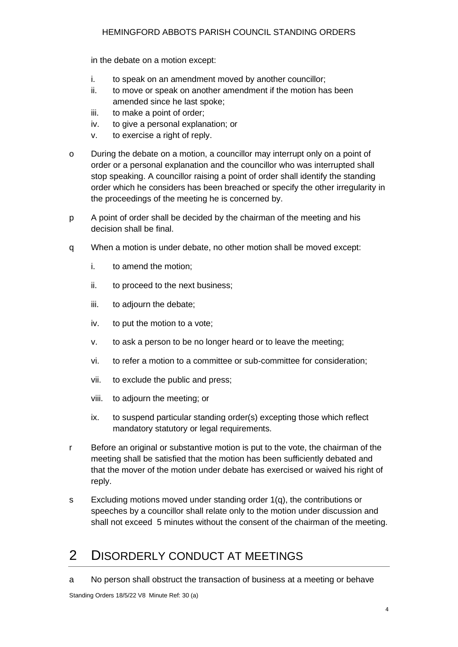#### HEMINGFORD ABBOTS PARISH COUNCIL STANDING ORDERS

in the debate on a motion except:

- i. to speak on an amendment moved by another councillor;
- ii. to move or speak on another amendment if the motion has been amended since he last spoke;
- iii. to make a point of order;
- iv. to give a personal explanation; or
- v. to exercise a right of reply.
- o During the debate on a motion, a councillor may interrupt only on a point of order or a personal explanation and the councillor who was interrupted shall stop speaking. A councillor raising a point of order shall identify the standing order which he considers has been breached or specify the other irregularity in the proceedings of the meeting he is concerned by.
- p A point of order shall be decided by the chairman of the meeting and his decision shall be final.
- q When a motion is under debate, no other motion shall be moved except:
	- i. to amend the motion;
	- ii. to proceed to the next business;
	- iii. to adjourn the debate;
	- iv. to put the motion to a vote;
	- v. to ask a person to be no longer heard or to leave the meeting;
	- vi. to refer a motion to a committee or sub-committee for consideration;
	- vii. to exclude the public and press;
	- viii. to adjourn the meeting; or
	- ix. to suspend particular standing order(s) excepting those which reflect mandatory statutory or legal requirements.
- r Before an original or substantive motion is put to the vote, the chairman of the meeting shall be satisfied that the motion has been sufficiently debated and that the mover of the motion under debate has exercised or waived his right of reply.
- s Excluding motions moved under standing order 1(q), the contributions or speeches by a councillor shall relate only to the motion under discussion and shall not exceed 5 minutes without the consent of the chairman of the meeting.

## <span id="page-4-0"></span>2 DISORDERLY CONDUCT AT MEETINGS

a No person shall obstruct the transaction of business at a meeting or behave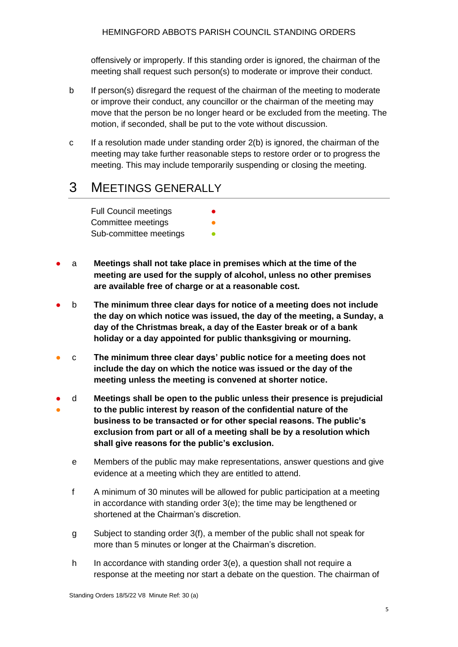offensively or improperly. If this standing order is ignored, the chairman of the meeting shall request such person(s) to moderate or improve their conduct.

- b If person(s) disregard the request of the chairman of the meeting to moderate or improve their conduct, any councillor or the chairman of the meeting may move that the person be no longer heard or be excluded from the meeting. The motion, if seconded, shall be put to the vote without discussion.
- c If a resolution made under standing order 2(b) is ignored, the chairman of the meeting may take further reasonable steps to restore order or to progress the meeting. This may include temporarily suspending or closing the meeting.

#### <span id="page-5-0"></span>3 MEETINGS GENERALLY

Full Council meetings **•** Committee meetings Sub-committee meetings **•** 

- a **Meetings shall not take place in premises which at the time of the meeting are used for the supply of alcohol, unless no other premises are available free of charge or at a reasonable cost.**
- b **The minimum three clear days for notice of a meeting does not include the day on which notice was issued, the day of the meeting, a Sunday, a day of the Christmas break, a day of the Easter break or of a bank holiday or a day appointed for public thanksgiving or mourning.**
- c **The minimum three clear days' public notice for a meeting does not include the day on which the notice was issued or the day of the meeting unless the meeting is convened at shorter notice.**
- d **Meetings shall be open to the public unless their presence is prejudicial**
- **to the public interest by reason of the confidential nature of the business to be transacted or for other special reasons. The public's exclusion from part or all of a meeting shall be by a resolution which shall give reasons for the public's exclusion.**
	- e Members of the public may make representations, answer questions and give evidence at a meeting which they are entitled to attend.
	- f A minimum of 30 minutes will be allowed for public participation at a meeting in accordance with standing order 3(e); the time may be lengthened or shortened at the Chairman's discretion.
	- g Subject to standing order 3(f), a member of the public shall not speak for more than 5 minutes or longer at the Chairman's discretion.
	- h In accordance with standing order 3(e), a question shall not require a response at the meeting nor start a debate on the question. The chairman of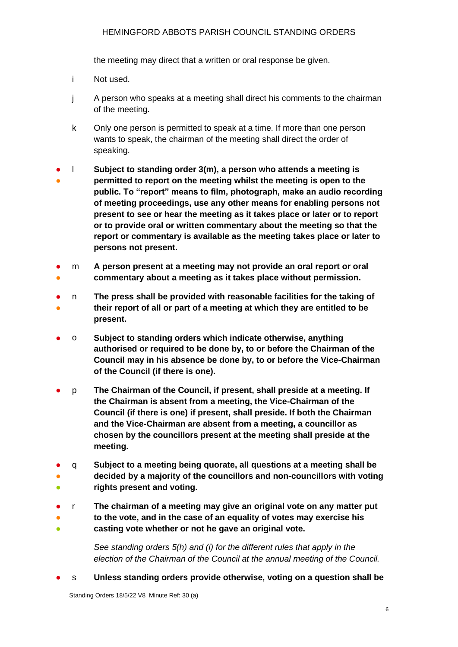#### HEMINGFORD ABBOTS PARISH COUNCIL STANDING ORDERS

the meeting may direct that a written or oral response be given.

- i Not used.
- j A person who speaks at a meeting shall direct his comments to the chairman of the meeting.
- k Only one person is permitted to speak at a time. If more than one person wants to speak, the chairman of the meeting shall direct the order of speaking.
- ● l **Subject to standing order 3(m), a person who attends a meeting is permitted to report on the meeting whilst the meeting is open to the public. To "report" means to film, photograph, make an audio recording of meeting proceedings, use any other means for enabling persons not present to see or hear the meeting as it takes place or later or to report or to provide oral or written commentary about the meeting so that the report or commentary is available as the meeting takes place or later to persons not present.**
- ● m **A person present at a meeting may not provide an oral report or oral commentary about a meeting as it takes place without permission.**
- ● n **The press shall be provided with reasonable facilities for the taking of their report of all or part of a meeting at which they are entitled to be present.**
- o **Subject to standing orders which indicate otherwise, anything authorised or required to be done by, to or before the Chairman of the Council may in his absence be done by, to or before the Vice-Chairman of the Council (if there is one).**
- p **The Chairman of the Council, if present, shall preside at a meeting. If the Chairman is absent from a meeting, the Vice-Chairman of the Council (if there is one) if present, shall preside. If both the Chairman and the Vice-Chairman are absent from a meeting, a councillor as chosen by the councillors present at the meeting shall preside at the meeting.**
- ● 。<br>● q **Subject to a meeting being quorate, all questions at a meeting shall be decided by a majority of the councillors and non-councillors with voting rights present and voting.**
- ● ● r **The chairman of a meeting may give an original vote on any matter put to the vote, and in the case of an equality of votes may exercise his casting vote whether or not he gave an original vote.**

*See standing orders 5(h) and (i) for the different rules that apply in the election of the Chairman of the Council at the annual meeting of the Council.*

● s **Unless standing orders provide otherwise, voting on a question shall be** 

Standing Orders 18/5/22 V8 Minute Ref: 30 (a)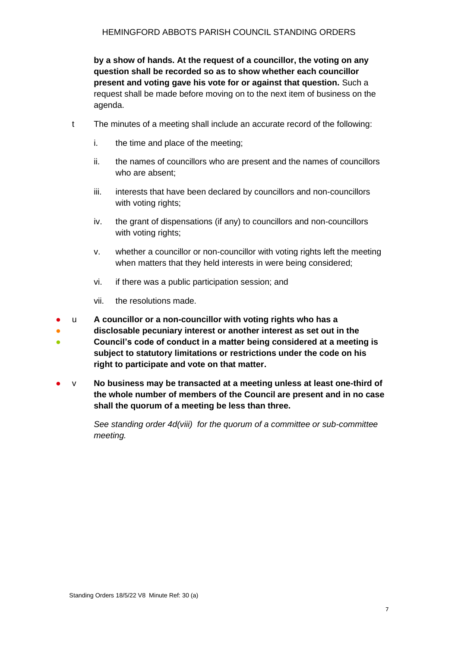**by a show of hands. At the request of a councillor, the voting on any question shall be recorded so as to show whether each councillor present and voting gave his vote for or against that question.** Such a request shall be made before moving on to the next item of business on the agenda.

- t The minutes of a meeting shall include an accurate record of the following:
	- i. the time and place of the meeting;
	- ii. the names of councillors who are present and the names of councillors who are absent;
	- iii. interests that have been declared by councillors and non-councillors with voting rights:
	- iv. the grant of dispensations (if any) to councillors and non-councillors with voting rights;
	- v. whether a councillor or non-councillor with voting rights left the meeting when matters that they held interests in were being considered;
	- vi. if there was a public participation session; and
	- vii. the resolutions made.
- u **A councillor or a non-councillor with voting rights who has a**
- **disclosable pecuniary interest or another interest as set out in the**
- **Council's code of conduct in a matter being considered at a meeting is subject to statutory limitations or restrictions under the code on his right to participate and vote on that matter.**
- v **No business may be transacted at a meeting unless at least one-third of the whole number of members of the Council are present and in no case shall the quorum of a meeting be less than three.**

*See standing order 4d(viii) for the quorum of a committee or sub-committee meeting.*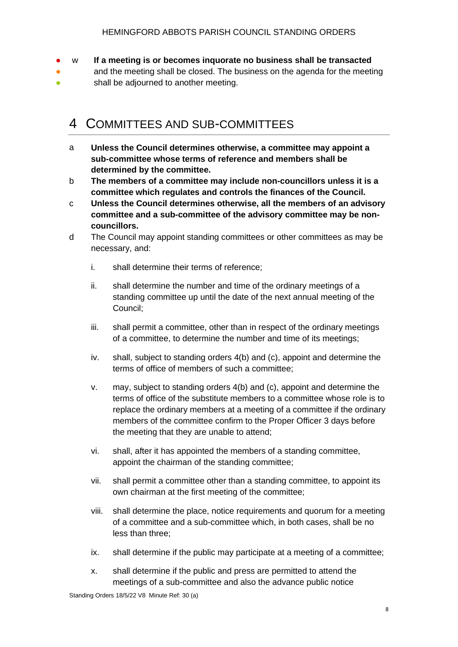- w **If a meeting is or becomes inquorate no business shall be transacted**
- ● and the meeting shall be closed. The business on the agenda for the meeting shall be adjourned to another meeting.

#### <span id="page-8-0"></span>4 COMMITTEES AND SUB-COMMITTEES

- a **Unless the Council determines otherwise, a committee may appoint a sub-committee whose terms of reference and members shall be determined by the committee.**
- b **The members of a committee may include non-councillors unless it is a committee which regulates and controls the finances of the Council.**
- c **Unless the Council determines otherwise, all the members of an advisory committee and a sub-committee of the advisory committee may be noncouncillors.**
- d The Council may appoint standing committees or other committees as may be necessary, and:
	- i. shall determine their terms of reference;
	- ii. shall determine the number and time of the ordinary meetings of a standing committee up until the date of the next annual meeting of the Council;
	- iii. shall permit a committee, other than in respect of the ordinary meetings of a committee, to determine the number and time of its meetings;
	- iv. shall, subject to standing orders 4(b) and (c), appoint and determine the terms of office of members of such a committee;
	- v. may, subject to standing orders 4(b) and (c), appoint and determine the terms of office of the substitute members to a committee whose role is to replace the ordinary members at a meeting of a committee if the ordinary members of the committee confirm to the Proper Officer 3 days before the meeting that they are unable to attend;
	- vi. shall, after it has appointed the members of a standing committee, appoint the chairman of the standing committee;
	- vii. shall permit a committee other than a standing committee, to appoint its own chairman at the first meeting of the committee;
	- viii. shall determine the place, notice requirements and quorum for a meeting of a committee and a sub-committee which, in both cases, shall be no less than three;
	- ix. shall determine if the public may participate at a meeting of a committee;
	- x. shall determine if the public and press are permitted to attend the meetings of a sub-committee and also the advance public notice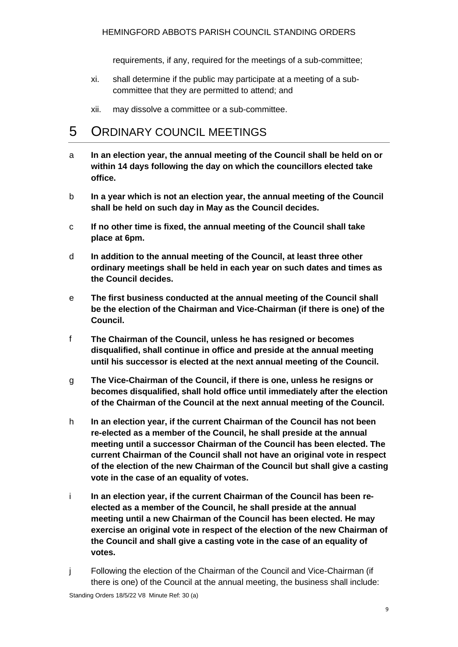requirements, if any, required for the meetings of a sub-committee;

- xi. shall determine if the public may participate at a meeting of a subcommittee that they are permitted to attend; and
- xii. may dissolve a committee or a sub-committee.

#### <span id="page-9-0"></span>5 ORDINARY COUNCIL MEETINGS

- a **In an election year, the annual meeting of the Council shall be held on or within 14 days following the day on which the councillors elected take office.**
- b **In a year which is not an election year, the annual meeting of the Council shall be held on such day in May as the Council decides.**
- c **If no other time is fixed, the annual meeting of the Council shall take place at 6pm.**
- d **In addition to the annual meeting of the Council, at least three other ordinary meetings shall be held in each year on such dates and times as the Council decides.**
- e **The first business conducted at the annual meeting of the Council shall be the election of the Chairman and Vice-Chairman (if there is one) of the Council.**
- f **The Chairman of the Council, unless he has resigned or becomes disqualified, shall continue in office and preside at the annual meeting until his successor is elected at the next annual meeting of the Council.**
- g **The Vice-Chairman of the Council, if there is one, unless he resigns or becomes disqualified, shall hold office until immediately after the election of the Chairman of the Council at the next annual meeting of the Council.**
- h **In an election year, if the current Chairman of the Council has not been re-elected as a member of the Council, he shall preside at the annual meeting until a successor Chairman of the Council has been elected. The current Chairman of the Council shall not have an original vote in respect of the election of the new Chairman of the Council but shall give a casting vote in the case of an equality of votes.**
- i **In an election year, if the current Chairman of the Council has been reelected as a member of the Council, he shall preside at the annual meeting until a new Chairman of the Council has been elected. He may exercise an original vote in respect of the election of the new Chairman of the Council and shall give a casting vote in the case of an equality of votes.**
- j Following the election of the Chairman of the Council and Vice-Chairman (if there is one) of the Council at the annual meeting, the business shall include: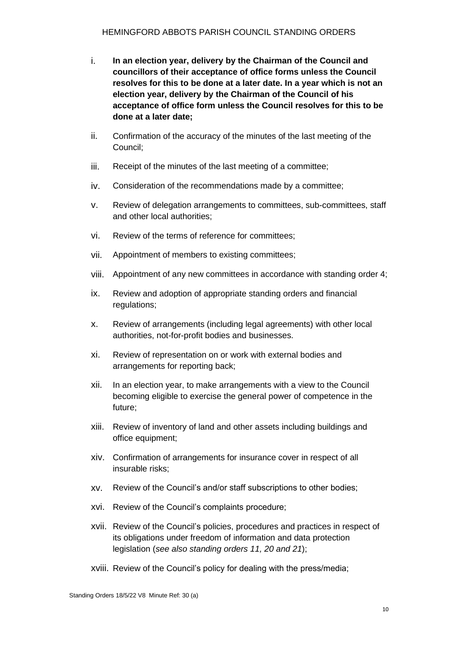- i. **In an election year, delivery by the Chairman of the Council and councillors of their acceptance of office forms unless the Council resolves for this to be done at a later date. In a year which is not an election year, delivery by the Chairman of the Council of his acceptance of office form unless the Council resolves for this to be done at a later date;**
- ii. Confirmation of the accuracy of the minutes of the last meeting of the Council;
- iii. Receipt of the minutes of the last meeting of a committee;
- iv. Consideration of the recommendations made by a committee;
- v. Review of delegation arrangements to committees, sub-committees, staff and other local authorities;
- vi. Review of the terms of reference for committees;
- vii. Appointment of members to existing committees;
- viii. Appointment of any new committees in accordance with standing order 4;
- ix. Review and adoption of appropriate standing orders and financial regulations;
- x. Review of arrangements (including legal agreements) with other local authorities, not-for-profit bodies and businesses.
- xi. Review of representation on or work with external bodies and arrangements for reporting back;
- xii. In an election year, to make arrangements with a view to the Council becoming eligible to exercise the general power of competence in the future;
- xiii. Review of inventory of land and other assets including buildings and office equipment;
- xiv. Confirmation of arrangements for insurance cover in respect of all insurable risks;
- xv. Review of the Council's and/or staff subscriptions to other bodies;
- xvi. Review of the Council's complaints procedure;
- xvii. Review of the Council's policies, procedures and practices in respect of its obligations under freedom of information and data protection legislation (*see also standing orders 11, 20 and 21*);
- xviii. Review of the Council's policy for dealing with the press/media;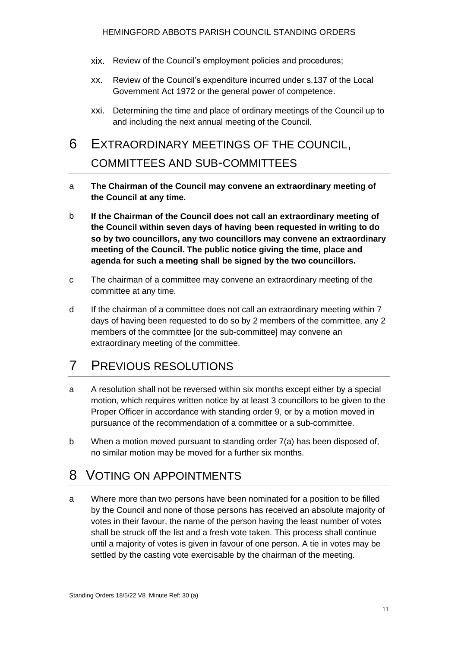- xix. Review of the Council's employment policies and procedures;
- xx. Review of the Council's expenditure incurred under s.137 of the Local Government Act 1972 or the general power of competence.
- xxi. Determining the time and place of ordinary meetings of the Council up to and including the next annual meeting of the Council.

# <span id="page-11-0"></span>6 EXTRAORDINARY MEETINGS OF THE COUNCIL, COMMITTEES AND SUB-COMMITTEES

- a **The Chairman of the Council may convene an extraordinary meeting of the Council at any time.**
- b **If the Chairman of the Council does not call an extraordinary meeting of the Council within seven days of having been requested in writing to do so by two councillors, any two councillors may convene an extraordinary meeting of the Council. The public notice giving the time, place and agenda for such a meeting shall be signed by the two councillors.**
- c The chairman of a committee may convene an extraordinary meeting of the committee at any time.
- d If the chairman of a committee does not call an extraordinary meeting within 7 days of having been requested to do so by 2 members of the committee, any 2 members of the committee [or the sub-committee] may convene an extraordinary meeting of the committee.

## <span id="page-11-1"></span>7 PREVIOUS RESOLUTIONS

- a A resolution shall not be reversed within six months except either by a special motion, which requires written notice by at least 3 councillors to be given to the Proper Officer in accordance with standing order 9, or by a motion moved in pursuance of the recommendation of a committee or a sub-committee.
- b When a motion moved pursuant to standing order 7(a) has been disposed of, no similar motion may be moved for a further six months.

#### <span id="page-11-2"></span>8 VOTING ON APPOINTMENTS

a Where more than two persons have been nominated for a position to be filled by the Council and none of those persons has received an absolute majority of votes in their favour, the name of the person having the least number of votes shall be struck off the list and a fresh vote taken. This process shall continue until a majority of votes is given in favour of one person. A tie in votes may be settled by the casting vote exercisable by the chairman of the meeting.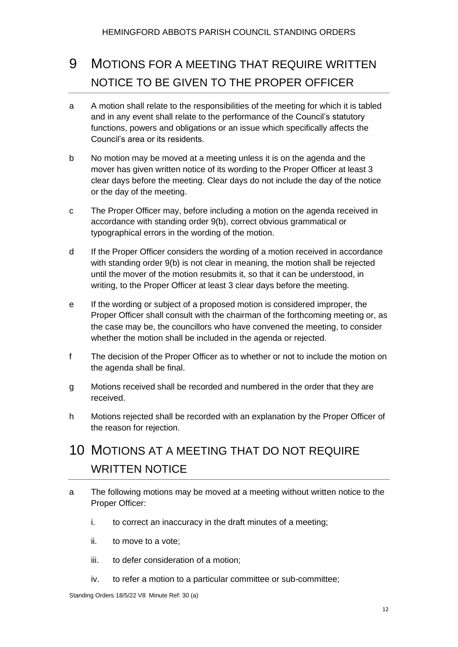# <span id="page-12-0"></span>9 MOTIONS FOR A MEETING THAT REQUIRE WRITTEN NOTICE TO BE GIVEN TO THE PROPER OFFICER

- a A motion shall relate to the responsibilities of the meeting for which it is tabled and in any event shall relate to the performance of the Council's statutory functions, powers and obligations or an issue which specifically affects the Council's area or its residents.
- b No motion may be moved at a meeting unless it is on the agenda and the mover has given written notice of its wording to the Proper Officer at least 3 clear days before the meeting. Clear days do not include the day of the notice or the day of the meeting.
- c The Proper Officer may, before including a motion on the agenda received in accordance with standing order 9(b), correct obvious grammatical or typographical errors in the wording of the motion.
- d If the Proper Officer considers the wording of a motion received in accordance with standing order 9(b) is not clear in meaning, the motion shall be rejected until the mover of the motion resubmits it, so that it can be understood, in writing, to the Proper Officer at least 3 clear days before the meeting.
- e If the wording or subject of a proposed motion is considered improper, the Proper Officer shall consult with the chairman of the forthcoming meeting or, as the case may be, the councillors who have convened the meeting, to consider whether the motion shall be included in the agenda or rejected.
- f The decision of the Proper Officer as to whether or not to include the motion on the agenda shall be final.
- g Motions received shall be recorded and numbered in the order that they are received.
- h Motions rejected shall be recorded with an explanation by the Proper Officer of the reason for rejection.

# <span id="page-12-1"></span>10 MOTIONS AT A MEETING THAT DO NOT REQUIRE WRITTEN NOTICE

- a The following motions may be moved at a meeting without written notice to the Proper Officer:
	- i. to correct an inaccuracy in the draft minutes of a meeting;
	- ii. to move to a vote;
	- iii. to defer consideration of a motion;
	- iv. to refer a motion to a particular committee or sub-committee;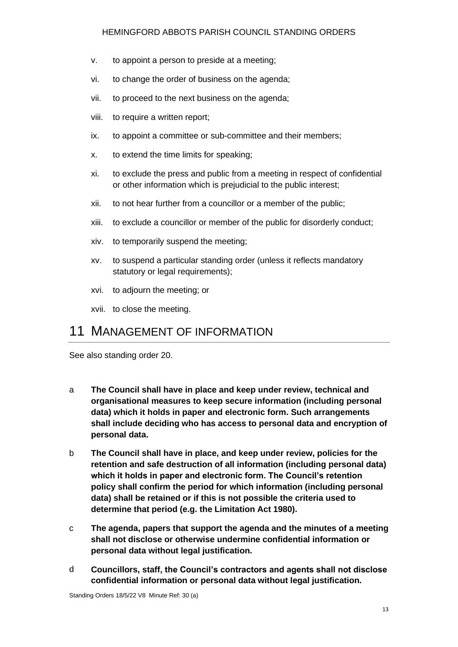#### HEMINGFORD ABBOTS PARISH COUNCIL STANDING ORDERS

- v. to appoint a person to preside at a meeting;
- vi. to change the order of business on the agenda;
- vii. to proceed to the next business on the agenda;
- viii. to require a written report;
- ix. to appoint a committee or sub-committee and their members;
- x. to extend the time limits for speaking;
- xi. to exclude the press and public from a meeting in respect of confidential or other information which is prejudicial to the public interest;
- xii. to not hear further from a councillor or a member of the public;
- xiii. to exclude a councillor or member of the public for disorderly conduct;
- xiv. to temporarily suspend the meeting;
- xv. to suspend a particular standing order (unless it reflects mandatory statutory or legal requirements);
- xvi. to adjourn the meeting; or
- xvii. to close the meeting.

#### <span id="page-13-0"></span>11 MANAGEMENT OF INFORMATION

See also standing order 20.

- a **The Council shall have in place and keep under review, technical and organisational measures to keep secure information (including personal data) which it holds in paper and electronic form. Such arrangements shall include deciding who has access to personal data and encryption of personal data.**
- b **The Council shall have in place, and keep under review, policies for the retention and safe destruction of all information (including personal data) which it holds in paper and electronic form. The Council's retention policy shall confirm the period for which information (including personal data) shall be retained or if this is not possible the criteria used to determine that period (e.g. the Limitation Act 1980).**
- c **The agenda, papers that support the agenda and the minutes of a meeting shall not disclose or otherwise undermine confidential information or personal data without legal justification.**
- d **Councillors, staff, the Council's contractors and agents shall not disclose confidential information or personal data without legal justification.**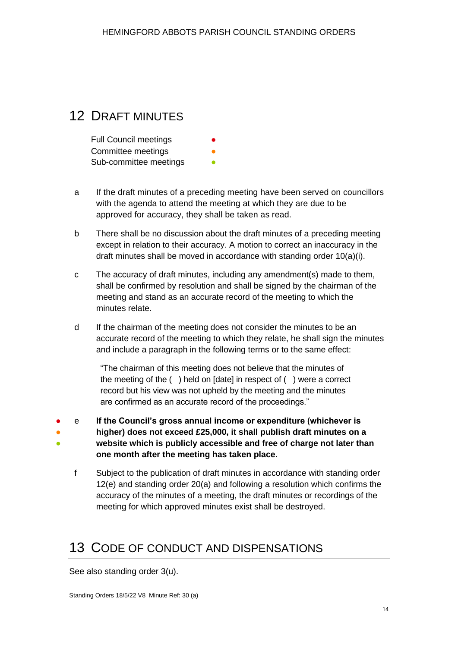#### <span id="page-14-0"></span>12 DRAFT MINUTES

| <b>Full Council meetings</b> | $\bullet$ |
|------------------------------|-----------|
| Committee meetings           | O         |
| Sub-committee meetings       |           |

- a If the draft minutes of a preceding meeting have been served on councillors with the agenda to attend the meeting at which they are due to be approved for accuracy, they shall be taken as read.
- b There shall be no discussion about the draft minutes of a preceding meeting except in relation to their accuracy. A motion to correct an inaccuracy in the draft minutes shall be moved in accordance with standing order 10(a)(i).
- c The accuracy of draft minutes, including any amendment(s) made to them, shall be confirmed by resolution and shall be signed by the chairman of the meeting and stand as an accurate record of the meeting to which the minutes relate.
- d If the chairman of the meeting does not consider the minutes to be an accurate record of the meeting to which they relate, he shall sign the minutes and include a paragraph in the following terms or to the same effect:

"The chairman of this meeting does not believe that the minutes of the meeting of the ( ) held on [date] in respect of ( ) were a correct record but his view was not upheld by the meeting and the minutes are confirmed as an accurate record of the proceedings."

- ● e **If the Council's gross annual income or expenditure (whichever is** 
	- **higher) does not exceed £25,000, it shall publish draft minutes on a website which is publicly accessible and free of charge not later than**
	- **one month after the meeting has taken place.**
	- f Subject to the publication of draft minutes in accordance with standing order 12(e) and standing order 20(a) and following a resolution which confirms the accuracy of the minutes of a meeting, the draft minutes or recordings of the meeting for which approved minutes exist shall be destroyed.

## <span id="page-14-1"></span>13 CODE OF CONDUCT AND DISPENSATIONS

See also standing order 3(u).

●

Standing Orders 18/5/22 V8 Minute Ref: 30 (a)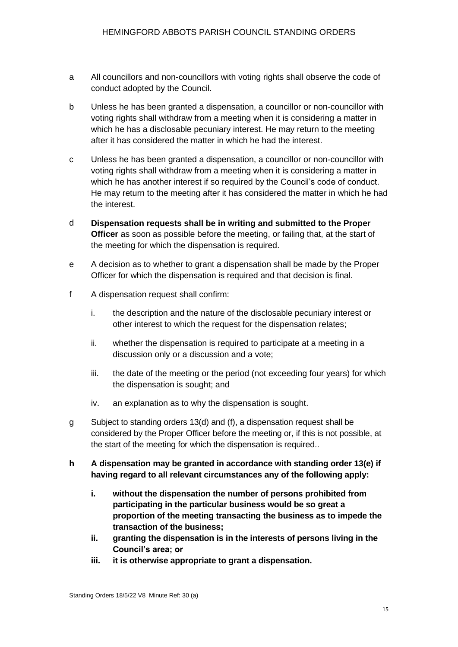- a All councillors and non-councillors with voting rights shall observe the code of conduct adopted by the Council.
- b Unless he has been granted a dispensation, a councillor or non-councillor with voting rights shall withdraw from a meeting when it is considering a matter in which he has a disclosable pecuniary interest. He may return to the meeting after it has considered the matter in which he had the interest.
- c Unless he has been granted a dispensation, a councillor or non-councillor with voting rights shall withdraw from a meeting when it is considering a matter in which he has another interest if so required by the Council's code of conduct. He may return to the meeting after it has considered the matter in which he had the interest.
- d **Dispensation requests shall be in writing and submitted to the Proper Officer** as soon as possible before the meeting, or failing that, at the start of the meeting for which the dispensation is required.
- e A decision as to whether to grant a dispensation shall be made by the Proper Officer for which the dispensation is required and that decision is final.
- f A dispensation request shall confirm:
	- i. the description and the nature of the disclosable pecuniary interest or other interest to which the request for the dispensation relates;
	- ii. whether the dispensation is required to participate at a meeting in a discussion only or a discussion and a vote;
	- iii. the date of the meeting or the period (not exceeding four years) for which the dispensation is sought; and
	- iv. an explanation as to why the dispensation is sought.
- g Subject to standing orders 13(d) and (f), a dispensation request shall be considered by the Proper Officer before the meeting or, if this is not possible, at the start of the meeting for which the dispensation is required..
- **h A dispensation may be granted in accordance with standing order 13(e) if having regard to all relevant circumstances any of the following apply:**
	- **i. without the dispensation the number of persons prohibited from participating in the particular business would be so great a proportion of the meeting transacting the business as to impede the transaction of the business;**
	- **ii. granting the dispensation is in the interests of persons living in the Council's area; or**
	- **iii. it is otherwise appropriate to grant a dispensation.**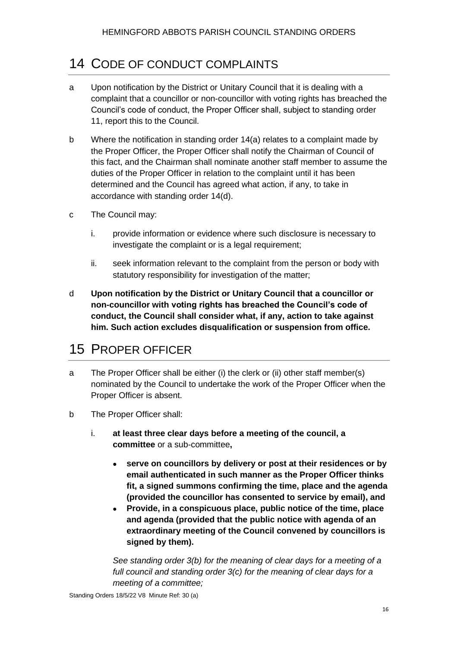## <span id="page-16-0"></span>14 CODE OF CONDUCT COMPLAINTS

- a Upon notification by the District or Unitary Council that it is dealing with a complaint that a councillor or non-councillor with voting rights has breached the Council's code of conduct, the Proper Officer shall, subject to standing order 11, report this to the Council.
- b Where the notification in standing order 14(a) relates to a complaint made by the Proper Officer, the Proper Officer shall notify the Chairman of Council of this fact, and the Chairman shall nominate another staff member to assume the duties of the Proper Officer in relation to the complaint until it has been determined and the Council has agreed what action, if any, to take in accordance with standing order 14(d).
- c The Council may:
	- i. provide information or evidence where such disclosure is necessary to investigate the complaint or is a legal requirement;
	- ii. seek information relevant to the complaint from the person or body with statutory responsibility for investigation of the matter;
- d **Upon notification by the District or Unitary Council that a councillor or non-councillor with voting rights has breached the Council's code of conduct, the Council shall consider what, if any, action to take against him. Such action excludes disqualification or suspension from office.**

#### <span id="page-16-1"></span>15 PROPER OFFICER

- a The Proper Officer shall be either (i) the clerk or (ii) other staff member(s) nominated by the Council to undertake the work of the Proper Officer when the Proper Officer is absent.
- b The Proper Officer shall:
	- i. **at least three clear days before a meeting of the council, a committee** or a sub-committee**,**
		- **serve on councillors by delivery or post at their residences or by email authenticated in such manner as the Proper Officer thinks fit, a signed summons confirming the time, place and the agenda (provided the councillor has consented to service by email), and**
		- **Provide, in a conspicuous place, public notice of the time, place and agenda (provided that the public notice with agenda of an extraordinary meeting of the Council convened by councillors is signed by them).**

*See standing order 3(b) for the meaning of clear days for a meeting of a full council and standing order 3(c) for the meaning of clear days for a meeting of a committee;*

Standing Orders 18/5/22 V8 Minute Ref: 30 (a)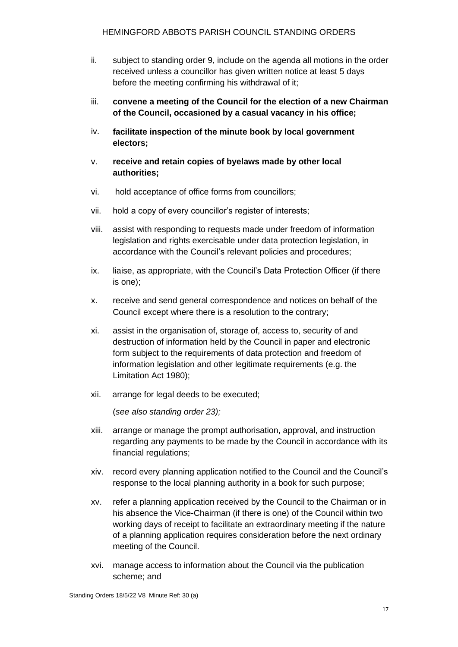- ii. subject to standing order 9, include on the agenda all motions in the order received unless a councillor has given written notice at least 5 days before the meeting confirming his withdrawal of it;
- iii. **convene a meeting of the Council for the election of a new Chairman of the Council, occasioned by a casual vacancy in his office;**
- iv. **facilitate inspection of the minute book by local government electors;**
- v. **receive and retain copies of byelaws made by other local authorities;**
- vi. hold acceptance of office forms from councillors;
- vii. hold a copy of every councillor's register of interests;
- viii. assist with responding to requests made under freedom of information legislation and rights exercisable under data protection legislation, in accordance with the Council's relevant policies and procedures;
- ix. liaise, as appropriate, with the Council's Data Protection Officer (if there is one);
- x. receive and send general correspondence and notices on behalf of the Council except where there is a resolution to the contrary;
- xi. assist in the organisation of, storage of, access to, security of and destruction of information held by the Council in paper and electronic form subject to the requirements of data protection and freedom of information legislation and other legitimate requirements (e.g. the Limitation Act 1980);
- xii. arrange for legal deeds to be executed;

(*see also standing order 23);*

- xiii. arrange or manage the prompt authorisation, approval, and instruction regarding any payments to be made by the Council in accordance with its financial regulations;
- xiv. record every planning application notified to the Council and the Council's response to the local planning authority in a book for such purpose;
- xv. refer a planning application received by the Council to the Chairman or in his absence the Vice-Chairman (if there is one) of the Council within two working days of receipt to facilitate an extraordinary meeting if the nature of a planning application requires consideration before the next ordinary meeting of the Council.
- xvi. manage access to information about the Council via the publication scheme; and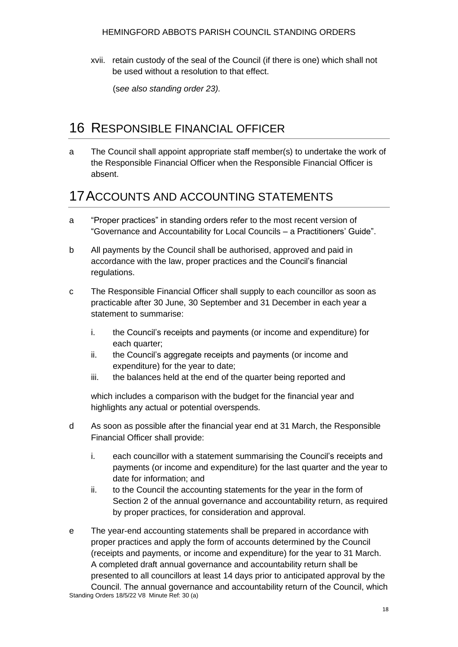xvii. retain custody of the seal of the Council (if there is one) which shall not be used without a resolution to that effect.

(s*ee also standing order 23).*

#### <span id="page-18-0"></span>16 RESPONSIBLE FINANCIAL OFFICER

a The Council shall appoint appropriate staff member(s) to undertake the work of the Responsible Financial Officer when the Responsible Financial Officer is absent.

#### <span id="page-18-1"></span>17ACCOUNTS AND ACCOUNTING STATEMENTS

- a "Proper practices" in standing orders refer to the most recent version of "Governance and Accountability for Local Councils – a Practitioners' Guide".
- b All payments by the Council shall be authorised, approved and paid in accordance with the law, proper practices and the Council's financial regulations.
- c The Responsible Financial Officer shall supply to each councillor as soon as practicable after 30 June, 30 September and 31 December in each year a statement to summarise:
	- i. the Council's receipts and payments (or income and expenditure) for each quarter;
	- ii. the Council's aggregate receipts and payments (or income and expenditure) for the year to date;
	- iii. the balances held at the end of the quarter being reported and

which includes a comparison with the budget for the financial year and highlights any actual or potential overspends.

- d As soon as possible after the financial year end at 31 March, the Responsible Financial Officer shall provide:
	- i. each councillor with a statement summarising the Council's receipts and payments (or income and expenditure) for the last quarter and the year to date for information; and
	- ii. to the Council the accounting statements for the year in the form of Section 2 of the annual governance and accountability return, as required by proper practices, for consideration and approval.
- e The year-end accounting statements shall be prepared in accordance with proper practices and apply the form of accounts determined by the Council (receipts and payments, or income and expenditure) for the year to 31 March. A completed draft annual governance and accountability return shall be presented to all councillors at least 14 days prior to anticipated approval by the Council. The annual governance and accountability return of the Council, which

Standing Orders 18/5/22 V8 Minute Ref: 30 (a)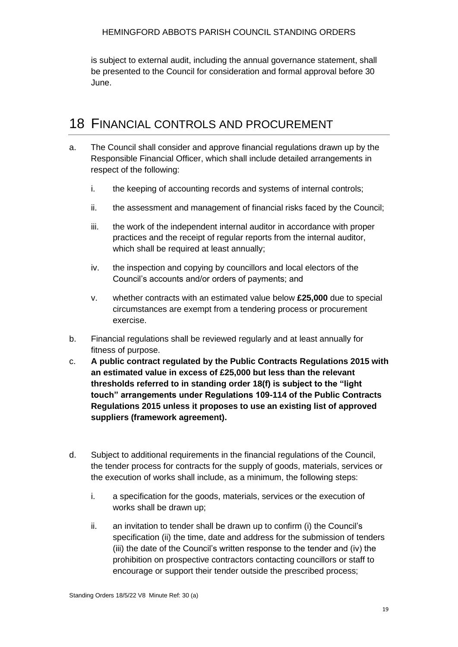#### HEMINGFORD ABBOTS PARISH COUNCIL STANDING ORDERS

is subject to external audit, including the annual governance statement, shall be presented to the Council for consideration and formal approval before 30 June.

## <span id="page-19-0"></span>18 FINANCIAL CONTROLS AND PROCUREMENT

- a. The Council shall consider and approve financial regulations drawn up by the Responsible Financial Officer, which shall include detailed arrangements in respect of the following:
	- i. the keeping of accounting records and systems of internal controls;
	- ii. the assessment and management of financial risks faced by the Council;
	- iii. the work of the independent internal auditor in accordance with proper practices and the receipt of regular reports from the internal auditor, which shall be required at least annually;
	- iv. the inspection and copying by councillors and local electors of the Council's accounts and/or orders of payments; and
	- v. whether contracts with an estimated value below **£25,000** due to special circumstances are exempt from a tendering process or procurement exercise.
- b. Financial regulations shall be reviewed regularly and at least annually for fitness of purpose.
- c. **A public contract regulated by the Public Contracts Regulations 2015 with an estimated value in excess of £25,000 but less than the relevant thresholds referred to in standing order 18(f) is subject to the "light touch" arrangements under Regulations 109-114 of the Public Contracts Regulations 2015 unless it proposes to use an existing list of approved suppliers (framework agreement).**
- d. Subject to additional requirements in the financial regulations of the Council, the tender process for contracts for the supply of goods, materials, services or the execution of works shall include, as a minimum, the following steps:
	- i. a specification for the goods, materials, services or the execution of works shall be drawn up;
	- ii. an invitation to tender shall be drawn up to confirm (i) the Council's specification (ii) the time, date and address for the submission of tenders (iii) the date of the Council's written response to the tender and (iv) the prohibition on prospective contractors contacting councillors or staff to encourage or support their tender outside the prescribed process;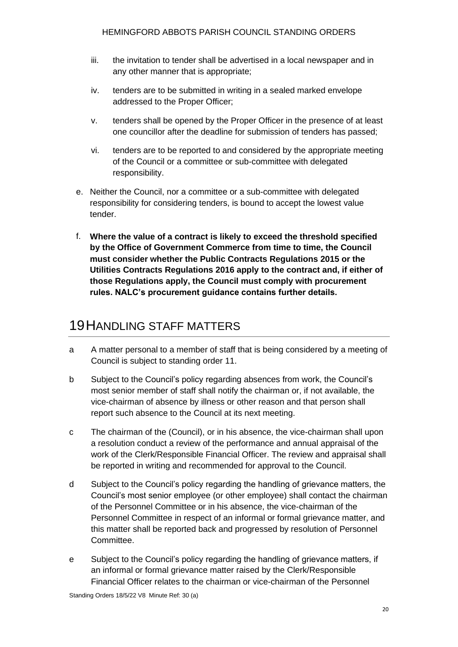- iii. the invitation to tender shall be advertised in a local newspaper and in any other manner that is appropriate;
- iv. tenders are to be submitted in writing in a sealed marked envelope addressed to the Proper Officer;
- v. tenders shall be opened by the Proper Officer in the presence of at least one councillor after the deadline for submission of tenders has passed;
- vi. tenders are to be reported to and considered by the appropriate meeting of the Council or a committee or sub-committee with delegated responsibility.
- e. Neither the Council, nor a committee or a sub-committee with delegated responsibility for considering tenders, is bound to accept the lowest value tender.
- f. **Where the value of a contract is likely to exceed the threshold specified by the Office of Government Commerce from time to time, the Council must consider whether the Public Contracts Regulations 2015 or the Utilities Contracts Regulations 2016 apply to the contract and, if either of those Regulations apply, the Council must comply with procurement rules. NALC's procurement guidance contains further details.**

## <span id="page-20-0"></span>19HANDLING STAFF MATTERS

- a A matter personal to a member of staff that is being considered by a meeting of Council is subject to standing order 11.
- b Subject to the Council's policy regarding absences from work, the Council's most senior member of staff shall notify the chairman or, if not available, the vice-chairman of absence by illness or other reason and that person shall report such absence to the Council at its next meeting.
- c The chairman of the (Council), or in his absence, the vice-chairman shall upon a resolution conduct a review of the performance and annual appraisal of the work of the Clerk/Responsible Financial Officer. The review and appraisal shall be reported in writing and recommended for approval to the Council.
- d Subject to the Council's policy regarding the handling of grievance matters, the Council's most senior employee (or other employee) shall contact the chairman of the Personnel Committee or in his absence, the vice-chairman of the Personnel Committee in respect of an informal or formal grievance matter, and this matter shall be reported back and progressed by resolution of Personnel Committee.
- e Subject to the Council's policy regarding the handling of grievance matters, if an informal or formal grievance matter raised by the Clerk/Responsible Financial Officer relates to the chairman or vice-chairman of the Personnel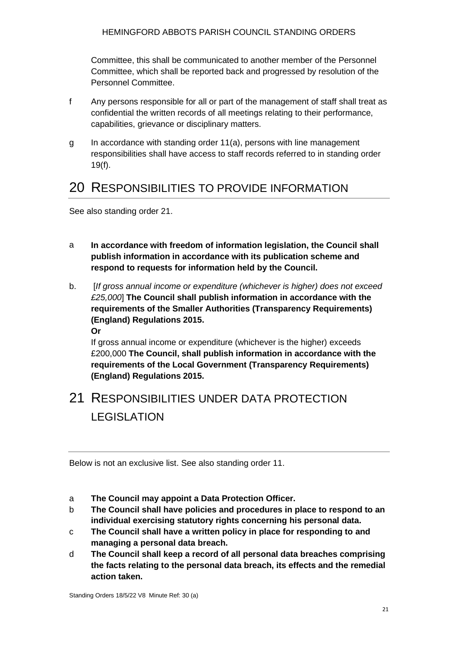Committee, this shall be communicated to another member of the Personnel Committee, which shall be reported back and progressed by resolution of the Personnel Committee.

- f Any persons responsible for all or part of the management of staff shall treat as confidential the written records of all meetings relating to their performance, capabilities, grievance or disciplinary matters.
- g In accordance with standing order 11(a), persons with line management responsibilities shall have access to staff records referred to in standing order 19(f).

#### <span id="page-21-0"></span>20 RESPONSIBILITIES TO PROVIDE INFORMATION

See also standing order 21.

- a **In accordance with freedom of information legislation, the Council shall publish information in accordance with its publication scheme and respond to requests for information held by the Council.**
- b. [*If gross annual income or expenditure (whichever is higher) does not exceed £25,000*] **The Council shall publish information in accordance with the requirements of the Smaller Authorities (Transparency Requirements) (England) Regulations 2015.**

**Or**

If gross annual income or expenditure (whichever is the higher) exceeds £200,000 **The Council, shall publish information in accordance with the requirements of the Local Government (Transparency Requirements) (England) Regulations 2015.**

# <span id="page-21-1"></span>21 RESPONSIBILITIES UNDER DATA PROTECTION LEGISLATION

Below is not an exclusive list. See also standing order 11.

- a **The Council may appoint a Data Protection Officer.**
- b **The Council shall have policies and procedures in place to respond to an individual exercising statutory rights concerning his personal data.**
- c **The Council shall have a written policy in place for responding to and managing a personal data breach.**
- d **The Council shall keep a record of all personal data breaches comprising the facts relating to the personal data breach, its effects and the remedial action taken.**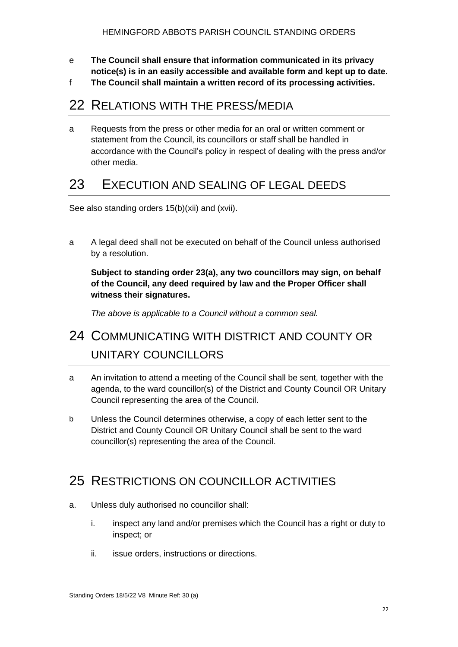- e **The Council shall ensure that information communicated in its privacy notice(s) is in an easily accessible and available form and kept up to date.**
- f **The Council shall maintain a written record of its processing activities.**

#### <span id="page-22-0"></span>22 RELATIONS WITH THE PRESS/MEDIA

a Requests from the press or other media for an oral or written comment or statement from the Council, its councillors or staff shall be handled in accordance with the Council's policy in respect of dealing with the press and/or other media.

#### <span id="page-22-1"></span>23 EXECUTION AND SEALING OF LEGAL DEEDS

See also standing orders 15(b)(xii) and (xvii).

a A legal deed shall not be executed on behalf of the Council unless authorised by a resolution.

**Subject to standing order 23(a), any two councillors may sign, on behalf of the Council, any deed required by law and the Proper Officer shall witness their signatures.** 

*The above is applicable to a Council without a common seal.*

# <span id="page-22-2"></span>24 COMMUNICATING WITH DISTRICT AND COUNTY OR UNITARY COUNCILLORS

- a An invitation to attend a meeting of the Council shall be sent, together with the agenda, to the ward councillor(s) of the District and County Council OR Unitary Council representing the area of the Council.
- b Unless the Council determines otherwise, a copy of each letter sent to the District and County Council OR Unitary Council shall be sent to the ward councillor(s) representing the area of the Council.

## <span id="page-22-3"></span>25 RESTRICTIONS ON COUNCILLOR ACTIVITIES

- a. Unless duly authorised no councillor shall:
	- i. inspect any land and/or premises which the Council has a right or duty to inspect; or
	- ii. issue orders, instructions or directions.